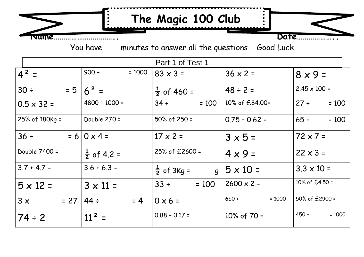## **The Magic 100 Club**

**Name………………………….. Date………………..**

You have minutes to answer all the questions. Good Luck

| Part 1 of Test 1   |                        |                                          |                     |                     |
|--------------------|------------------------|------------------------------------------|---------------------|---------------------|
| $4^2$ =            | $900 +$<br>$= 1000$    | $83 \times 3 =$                          | $36 \times 2 =$     | $8 \times 9 =$      |
| $30 \div$<br>$= 5$ | $16^2$ =               | $\frac{1}{2}$ of 460 =                   | $48 \div 2 =$       | $2.45 \times 100 =$ |
| $0.5 \times 32 =$  | $4800 \div 1000 =$     | $34 +$<br>$= 100$                        | 10% of £84.00=      | $27 +$<br>$= 100$   |
| 25% of 180Kg =     | Double 270 =           | $50\%$ of 250 =                          | $0.75 - 0.62 =$     | $65 +$<br>$= 100$   |
| $36 \div$          | $= 610 \times 4 =$     | $17 \times 2 =$                          | $3 \times 5 =$      | $72 \times 7 =$     |
| Double 7400 =      | $\frac{1}{2}$ of 4.2 = | 25% of £2600 =                           | $4 \times 9 =$      | $22 \times 3 =$     |
| $3.7 + 4.7 =$      | $3.6 + 6.3 =$          | $\frac{1}{2}$ of 3Kg =<br>$\overline{q}$ | $ 5 \times 10 =$    | $3.3 \times 10 =$   |
| $5 \times 12 =$    | $3 \times 11 =$        | $33 +$<br>$= 100$                        | $2600 \times 2 =$   | 10% of £4.50 =      |
| 3x<br>$= 27$       | $44 \div$<br>$= 4$     | $0 \times 6 =$                           | $650 +$<br>$= 1000$ | 50% of £2900 =      |
| $74 \div 2$        | $11^2$ =               | $0.88 - 0.17 =$                          | 10% of $70 =$       | $450 +$<br>$= 1000$ |